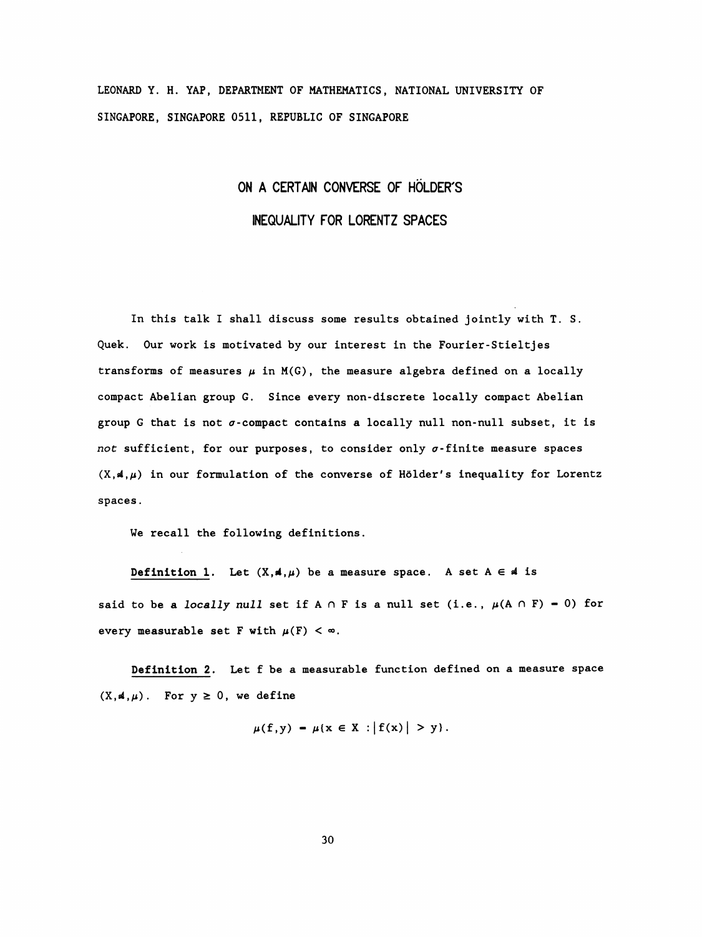LEONARD Y. H. YAP, DEPARTMENT OF MATHEMATICS, NATIONAL UNIVERSITY OF SINGAPORE, SINGAPORE 0511, REPUBLIC OF SINGAPORE

## ON A CERTAIN CONVERSE OF HOLDER'S INEQUALITY FOR LORENTZ SPACES

 In this talk I shall discuss some results obtained jointly with T. S. Quek. Our work is motivated by our interest in the Fourier-Stieltjes transforms of measures  $\mu$  in M(G), the measure algebra defined on a locally compact Abelian group G. Since every non-discrete locally compact Abelian group G that is not  $\sigma$ -compact contains a locally null non-null subset, it is not sufficient, for our purposes, to consider only  $\sigma$ -finite measure spaces  $(X, A, \mu)$  in our formulation of the converse of Hölder's inequality for Lorentz spaces .

We recall the following definitions.

Definition 1. Let  $(X, A, \mu)$  be a measure space. A set  $A \in A$  is said to be a locally null set if  $A \cap F$  is a null set (i.e.,  $\mu(A \cap F) = 0$ ) for every measurable set F with  $\mu(F) < \infty$ .

 Definition 2. Let f be a measurable function defined on a measure space  $(X, A, \mu)$ . For  $y \ge 0$ , we define

$$
\mu(f,y) - \mu\{x \in X : |f(x)| > y\}.
$$

30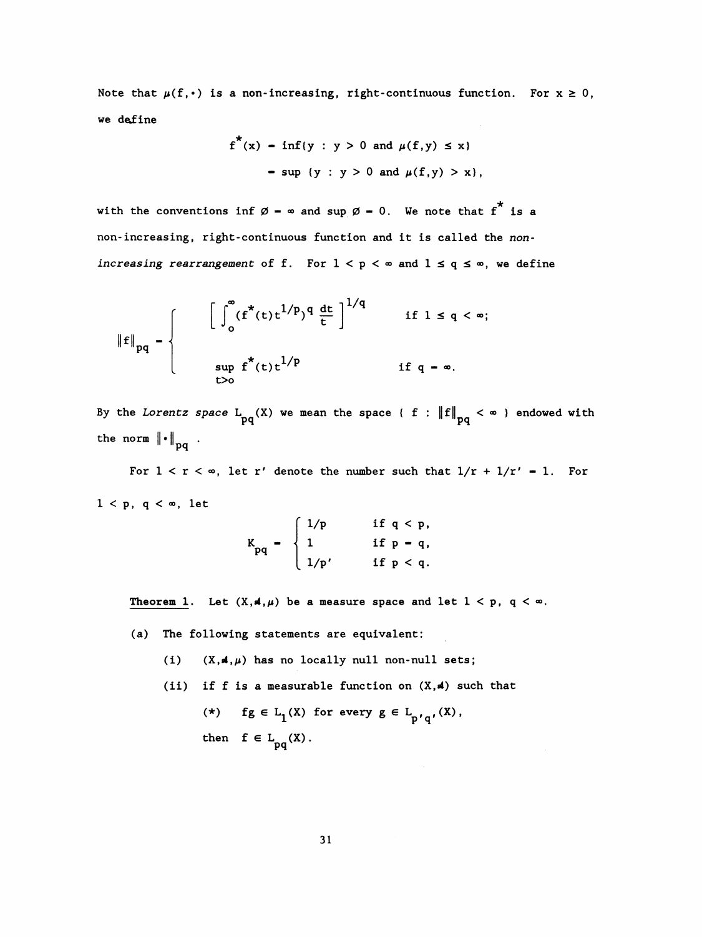Note that  $\mu(f, \cdot)$  is a non-increasing, right-continuous function. For  $x \ge 0$ , we define

$$
f^{*}(x) - inf\{y : y > 0 \text{ and } \mu(f,y) \leq x\}
$$
  
- sup {y : y > 0 and  $\mu(f,y) > x$ },

with the conventions inf  $\emptyset$  -  $\infty$  and sup  $\emptyset$  - 0. We note that  $f^*$  is a non-increasing, right-continuous function and it is called the nonincreasing rearrangement of f. For  $1 < p < \infty$  and  $1 \le q \le \infty$ , we define

$$
\|f\|_{pq} = \begin{cases} \left[\int_0^\infty (f^*(t)t^{1/p})^q \frac{dt}{t}\right]^{1/q} & \text{if } 1 \le q < \infty; \\ \sup_{t>0} f^*(t)t^{1/p} & \text{if } q = \infty. \end{cases}
$$

By the Lorentz space  $L_{pq}(X)$  we mean the space { f :  $||f||_{pq} < \infty$  } endowed with the norm  $\left\| \cdot \right\|_{pq}$ .

For  $1 < r < \infty$ , let r' denote the number such that  $1/r + 1/r' = 1$ . For  $1 < p$ , q  $< \infty$ , let

$$
K_{pq} = \begin{cases} 1/p & \text{if } q < p, \\ 1 & \text{if } p = q, \\ 1/p' & \text{if } p < q. \end{cases}
$$

Theorem 1. Let  $(X, 4, \mu)$  be a measure space and let  $1 < p$ ,  $q < \infty$ .

(a) The following statements are equivalent:

(i)  $(X, 4, \mu)$  has no locally null non-null sets;

(ii) if f is a measurable function on  $(X, A)$  such that (\*) fg  $\in$  L<sub>1</sub>(X) for every  $g \in L_{p'q'}(X)$ , then  $f \in L_{pq}(X)$ .